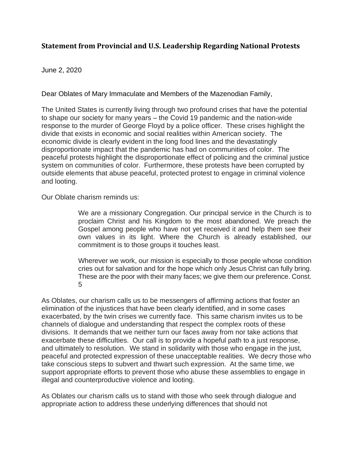## **Statement from Provincial and U.S. Leadership Regarding National Protests**

## June 2, 2020

Dear Oblates of Mary Immaculate and Members of the Mazenodian Family,

The United States is currently living through two profound crises that have the potential to shape our society for many years – the Covid 19 pandemic and the nation-wide response to the murder of George Floyd by a police officer. These crises highlight the divide that exists in economic and social realities within American society. The economic divide is clearly evident in the long food lines and the devastatingly disproportionate impact that the pandemic has had on communities of color. The peaceful protests highlight the disproportionate effect of policing and the criminal justice system on communities of color. Furthermore, these protests have been corrupted by outside elements that abuse peaceful, protected protest to engage in criminal violence and looting.

Our Oblate charism reminds us:

We are a missionary Congregation. Our principal service in the Church is to proclaim Christ and his Kingdom to the most abandoned. We preach the Gospel among people who have not yet received it and help them see their own values in its light. Where the Church is already established, our commitment is to those groups it touches least.

Wherever we work, our mission is especially to those people whose condition cries out for salvation and for the hope which only Jesus Christ can fully bring. These are the poor with their many faces; we give them our preference. Const. 5

As Oblates, our charism calls us to be messengers of affirming actions that foster an elimination of the injustices that have been clearly identified, and in some cases exacerbated, by the twin crises we currently face. This same charism invites us to be channels of dialogue and understanding that respect the complex roots of these divisions. It demands that we neither turn our faces away from nor take actions that exacerbate these difficulties. Our call is to provide a hopeful path to a just response, and ultimately to resolution. We stand in solidarity with those who engage in the just, peaceful and protected expression of these unacceptable realities. We decry those who take conscious steps to subvert and thwart such expression. At the same time, we support appropriate efforts to prevent those who abuse these assemblies to engage in illegal and counterproductive violence and looting.

As Oblates our charism calls us to stand with those who seek through dialogue and appropriate action to address these underlying differences that should not